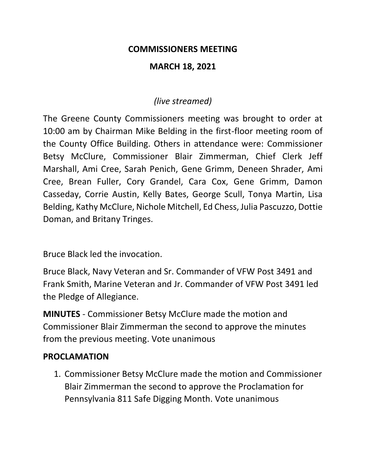#### **COMMISSIONERS MEETING**

#### **MARCH 18, 2021**

## *(live streamed)*

The Greene County Commissioners meeting was brought to order at 10:00 am by Chairman Mike Belding in the first-floor meeting room of the County Office Building. Others in attendance were: Commissioner Betsy McClure, Commissioner Blair Zimmerman, Chief Clerk Jeff Marshall, Ami Cree, Sarah Penich, Gene Grimm, Deneen Shrader, Ami Cree, Brean Fuller, Cory Grandel, Cara Cox, Gene Grimm, Damon Casseday, Corrie Austin, Kelly Bates, George Scull, Tonya Martin, Lisa Belding, Kathy McClure, Nichole Mitchell, Ed Chess, Julia Pascuzzo, Dottie Doman, and Britany Tringes.

Bruce Black led the invocation.

Bruce Black, Navy Veteran and Sr. Commander of VFW Post 3491 and Frank Smith, Marine Veteran and Jr. Commander of VFW Post 3491 led the Pledge of Allegiance.

**MINUTES** - Commissioner Betsy McClure made the motion and Commissioner Blair Zimmerman the second to approve the minutes from the previous meeting. Vote unanimous

## **PROCLAMATION**

1. Commissioner Betsy McClure made the motion and Commissioner Blair Zimmerman the second to approve the Proclamation for Pennsylvania 811 Safe Digging Month. Vote unanimous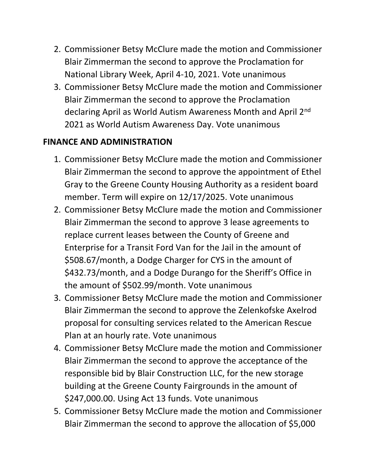- 2. Commissioner Betsy McClure made the motion and Commissioner Blair Zimmerman the second to approve the Proclamation for National Library Week, April 4-10, 2021. Vote unanimous
- 3. Commissioner Betsy McClure made the motion and Commissioner Blair Zimmerman the second to approve the Proclamation declaring April as World Autism Awareness Month and April 2nd 2021 as World Autism Awareness Day. Vote unanimous

# **FINANCE AND ADMINISTRATION**

- 1. Commissioner Betsy McClure made the motion and Commissioner Blair Zimmerman the second to approve the appointment of Ethel Gray to the Greene County Housing Authority as a resident board member. Term will expire on 12/17/2025. Vote unanimous
- 2. Commissioner Betsy McClure made the motion and Commissioner Blair Zimmerman the second to approve 3 lease agreements to replace current leases between the County of Greene and Enterprise for a Transit Ford Van for the Jail in the amount of \$508.67/month, a Dodge Charger for CYS in the amount of \$432.73/month, and a Dodge Durango for the Sheriff's Office in the amount of \$502.99/month. Vote unanimous
- 3. Commissioner Betsy McClure made the motion and Commissioner Blair Zimmerman the second to approve the Zelenkofske Axelrod proposal for consulting services related to the American Rescue Plan at an hourly rate. Vote unanimous
- 4. Commissioner Betsy McClure made the motion and Commissioner Blair Zimmerman the second to approve the acceptance of the responsible bid by Blair Construction LLC, for the new storage building at the Greene County Fairgrounds in the amount of \$247,000.00. Using Act 13 funds. Vote unanimous
- 5. Commissioner Betsy McClure made the motion and Commissioner Blair Zimmerman the second to approve the allocation of \$5,000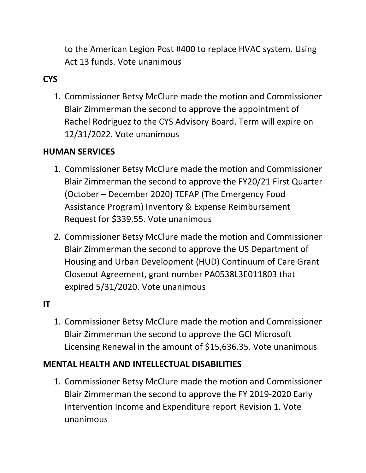to the American Legion Post #400 to replace HVAC system. Using Act 13 funds. Vote unanimous

# **CYS**

1. Commissioner Betsy McClure made the motion and Commissioner Blair Zimmerman the second to approve the appointment of Rachel Rodriguez to the CYS Advisory Board. Term will expire on 12/31/2022. Vote unanimous

## **HUMAN SERVICES**

- 1. Commissioner Betsy McClure made the motion and Commissioner Blair Zimmerman the second to approve the FY20/21 First Quarter (October – December 2020) TEFAP (The Emergency Food Assistance Program) Inventory & Expense Reimbursement Request for \$339.55. Vote unanimous
- 2. Commissioner Betsy McClure made the motion and Commissioner Blair Zimmerman the second to approve the US Department of Housing and Urban Development (HUD) Continuum of Care Grant Closeout Agreement, grant number PA0538L3E011803 that expired 5/31/2020. Vote unanimous

## **IT**

1. Commissioner Betsy McClure made the motion and Commissioner Blair Zimmerman the second to approve the GCI Microsoft Licensing Renewal in the amount of \$15,636.35. Vote unanimous

## **MENTAL HEALTH AND INTELLECTUAL DISABILITIES**

1. Commissioner Betsy McClure made the motion and Commissioner Blair Zimmerman the second to approve the FY 2019-2020 Early Intervention Income and Expenditure report Revision 1. Vote unanimous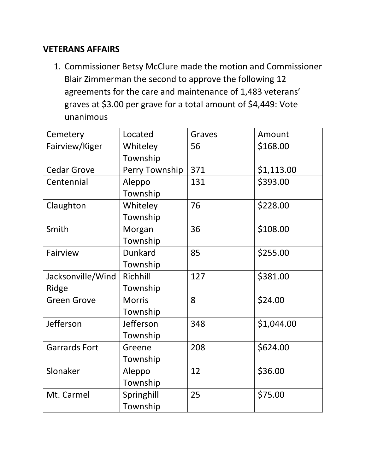#### **VETERANS AFFAIRS**

1. Commissioner Betsy McClure made the motion and Commissioner Blair Zimmerman the second to approve the following 12 agreements for the care and maintenance of 1,483 veterans' graves at \$3.00 per grave for a total amount of \$4,449: Vote unanimous

| Cemetery             | Located        | Graves | Amount     |
|----------------------|----------------|--------|------------|
| Fairview/Kiger       | Whiteley       | 56     | \$168.00   |
|                      | Township       |        |            |
| <b>Cedar Grove</b>   | Perry Township | 371    | \$1,113.00 |
| Centennial           | Aleppo         | 131    | \$393.00   |
|                      | Township       |        |            |
| Claughton            | Whiteley       | 76     | \$228.00   |
|                      | Township       |        |            |
| Smith                | Morgan         | 36     | \$108.00   |
|                      | Township       |        |            |
| Fairview             | Dunkard        | 85     | \$255.00   |
|                      | Township       |        |            |
| Jacksonville/Wind    | Richhill       | 127    | \$381.00   |
| Ridge                | Township       |        |            |
| <b>Green Grove</b>   | <b>Morris</b>  | 8      | \$24.00    |
|                      | Township       |        |            |
| Jefferson            | Jefferson      | 348    | \$1,044.00 |
|                      | Township       |        |            |
| <b>Garrards Fort</b> | Greene         | 208    | \$624.00   |
|                      | Township       |        |            |
| Slonaker             | Aleppo         | 12     | \$36.00    |
|                      | Township       |        |            |
| Mt. Carmel           | Springhill     | 25     | \$75.00    |
|                      | Township       |        |            |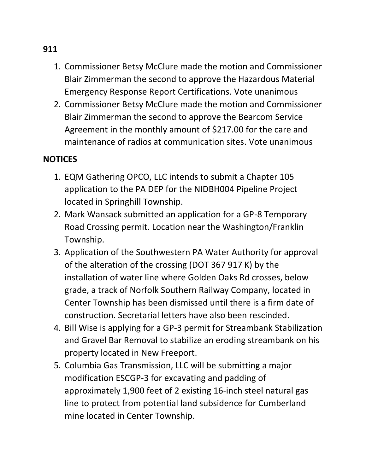- 1. Commissioner Betsy McClure made the motion and Commissioner Blair Zimmerman the second to approve the Hazardous Material Emergency Response Report Certifications. Vote unanimous
- 2. Commissioner Betsy McClure made the motion and Commissioner Blair Zimmerman the second to approve the Bearcom Service Agreement in the monthly amount of \$217.00 for the care and maintenance of radios at communication sites. Vote unanimous

## **NOTICES**

- 1. EQM Gathering OPCO, LLC intends to submit a Chapter 105 application to the PA DEP for the NIDBH004 Pipeline Project located in Springhill Township.
- 2. Mark Wansack submitted an application for a GP-8 Temporary Road Crossing permit. Location near the Washington/Franklin Township.
- 3. Application of the Southwestern PA Water Authority for approval of the alteration of the crossing (DOT 367 917 K) by the installation of water line where Golden Oaks Rd crosses, below grade, a track of Norfolk Southern Railway Company, located in Center Township has been dismissed until there is a firm date of construction. Secretarial letters have also been rescinded.
- 4. Bill Wise is applying for a GP-3 permit for Streambank Stabilization and Gravel Bar Removal to stabilize an eroding streambank on his property located in New Freeport.
- 5. Columbia Gas Transmission, LLC will be submitting a major modification ESCGP-3 for excavating and padding of approximately 1,900 feet of 2 existing 16-inch steel natural gas line to protect from potential land subsidence for Cumberland mine located in Center Township.

#### **911**